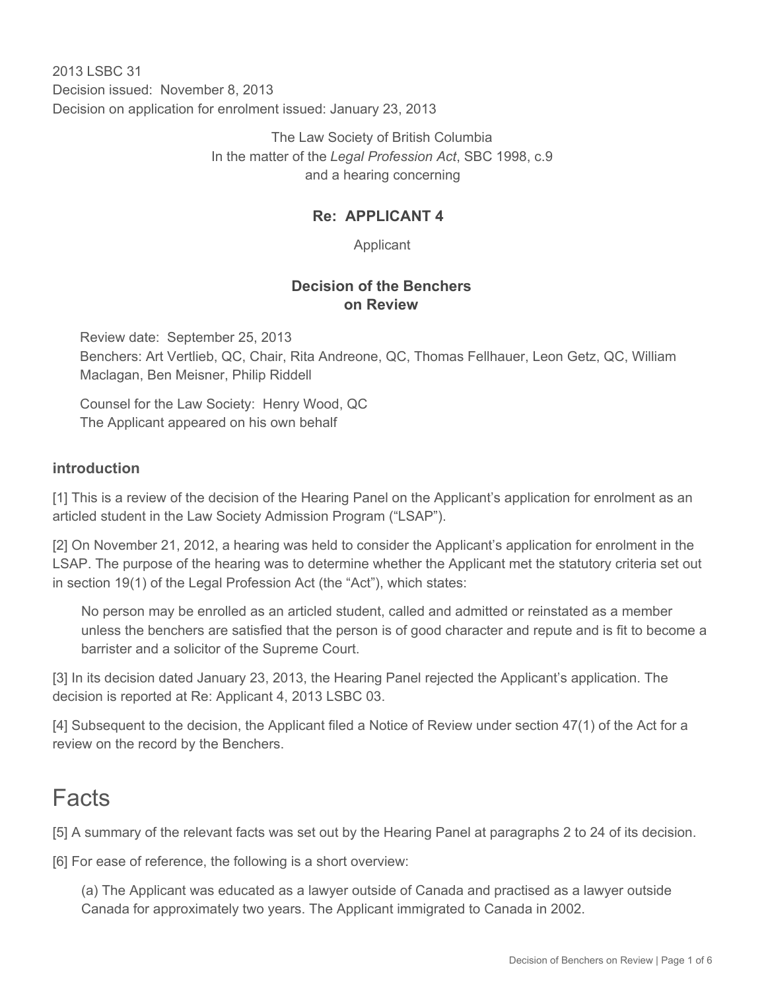2013 LSBC 31 Decision issued: November 8, 2013 Decision on application for enrolment issued: January 23, 2013

> The Law Society of British Columbia In the matter of the *Legal Profession Act*, SBC 1998, c.9 and a hearing concerning

#### **Re: APPLICANT 4**

Applicant

#### **Decision of the Benchers on Review**

Review date: September 25, 2013 Benchers: Art Vertlieb, QC, Chair, Rita Andreone, QC, Thomas Fellhauer, Leon Getz, QC, William Maclagan, Ben Meisner, Philip Riddell

Counsel for the Law Society: Henry Wood, QC The Applicant appeared on his own behalf

#### **introduction**

[1] This is a review of the decision of the Hearing Panel on the Applicant's application for enrolment as an articled student in the Law Society Admission Program ("LSAP").

[2] On November 21, 2012, a hearing was held to consider the Applicant's application for enrolment in the LSAP. The purpose of the hearing was to determine whether the Applicant met the statutory criteria set out in section 19(1) of the Legal Profession Act (the "Act"), which states:

No person may be enrolled as an articled student, called and admitted or reinstated as a member unless the benchers are satisfied that the person is of good character and repute and is fit to become a barrister and a solicitor of the Supreme Court.

[3] In its decision dated January 23, 2013, the Hearing Panel rejected the Applicant's application. The decision is reported at Re: Applicant 4, 2013 LSBC 03.

[4] Subsequent to the decision, the Applicant filed a Notice of Review under section 47(1) of the Act for a review on the record by the Benchers.

# Facts

[5] A summary of the relevant facts was set out by the Hearing Panel at paragraphs 2 to 24 of its decision.

[6] For ease of reference, the following is a short overview:

(a) The Applicant was educated as a lawyer outside of Canada and practised as a lawyer outside Canada for approximately two years. The Applicant immigrated to Canada in 2002.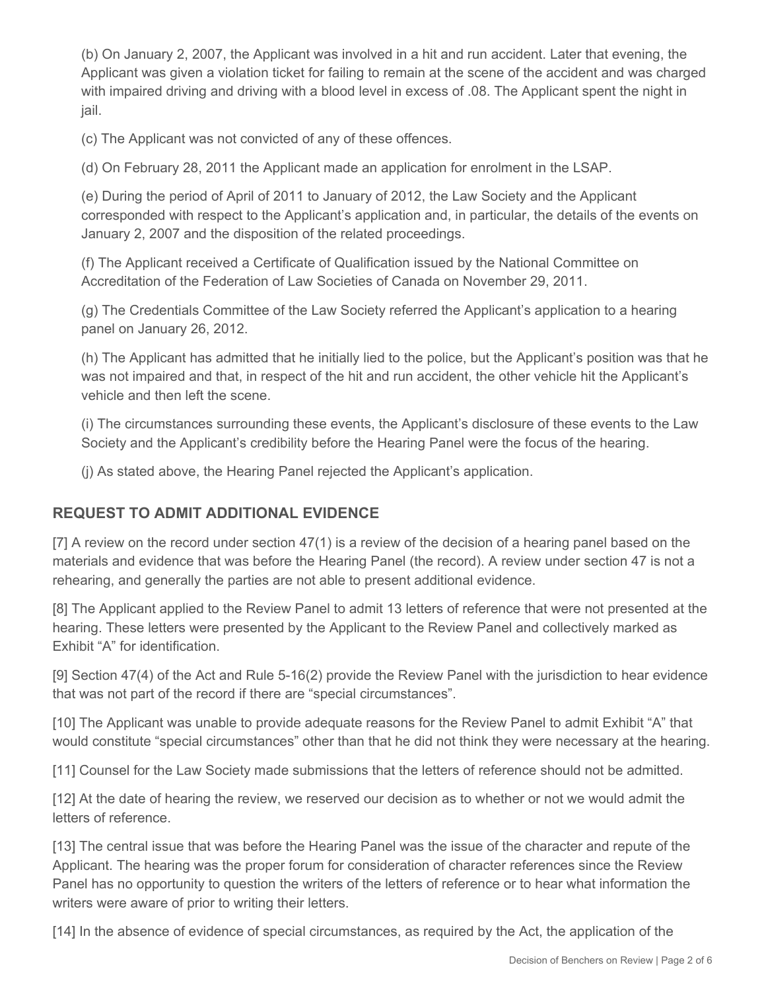(b) On January 2, 2007, the Applicant was involved in a hit and run accident. Later that evening, the Applicant was given a violation ticket for failing to remain at the scene of the accident and was charged with impaired driving and driving with a blood level in excess of .08. The Applicant spent the night in jail.

(c) The Applicant was not convicted of any of these offences.

(d) On February 28, 2011 the Applicant made an application for enrolment in the LSAP.

(e) During the period of April of 2011 to January of 2012, the Law Society and the Applicant corresponded with respect to the Applicant's application and, in particular, the details of the events on January 2, 2007 and the disposition of the related proceedings.

(f) The Applicant received a Certificate of Qualification issued by the National Committee on Accreditation of the Federation of Law Societies of Canada on November 29, 2011.

(g) The Credentials Committee of the Law Society referred the Applicant's application to a hearing panel on January 26, 2012.

(h) The Applicant has admitted that he initially lied to the police, but the Applicant's position was that he was not impaired and that, in respect of the hit and run accident, the other vehicle hit the Applicant's vehicle and then left the scene.

(i) The circumstances surrounding these events, the Applicant's disclosure of these events to the Law Society and the Applicant's credibility before the Hearing Panel were the focus of the hearing.

(j) As stated above, the Hearing Panel rejected the Applicant's application.

## **REQUEST TO ADMIT ADDITIONAL EVIDENCE**

[7] A review on the record under section 47(1) is a review of the decision of a hearing panel based on the materials and evidence that was before the Hearing Panel (the record). A review under section 47 is not a rehearing, and generally the parties are not able to present additional evidence.

[8] The Applicant applied to the Review Panel to admit 13 letters of reference that were not presented at the hearing. These letters were presented by the Applicant to the Review Panel and collectively marked as Exhibit "A" for identification.

[9] Section 47(4) of the Act and Rule 5-16(2) provide the Review Panel with the jurisdiction to hear evidence that was not part of the record if there are "special circumstances".

[10] The Applicant was unable to provide adequate reasons for the Review Panel to admit Exhibit "A" that would constitute "special circumstances" other than that he did not think they were necessary at the hearing.

[11] Counsel for the Law Society made submissions that the letters of reference should not be admitted.

[12] At the date of hearing the review, we reserved our decision as to whether or not we would admit the letters of reference.

[13] The central issue that was before the Hearing Panel was the issue of the character and repute of the Applicant. The hearing was the proper forum for consideration of character references since the Review Panel has no opportunity to question the writers of the letters of reference or to hear what information the writers were aware of prior to writing their letters.

[14] In the absence of evidence of special circumstances, as required by the Act, the application of the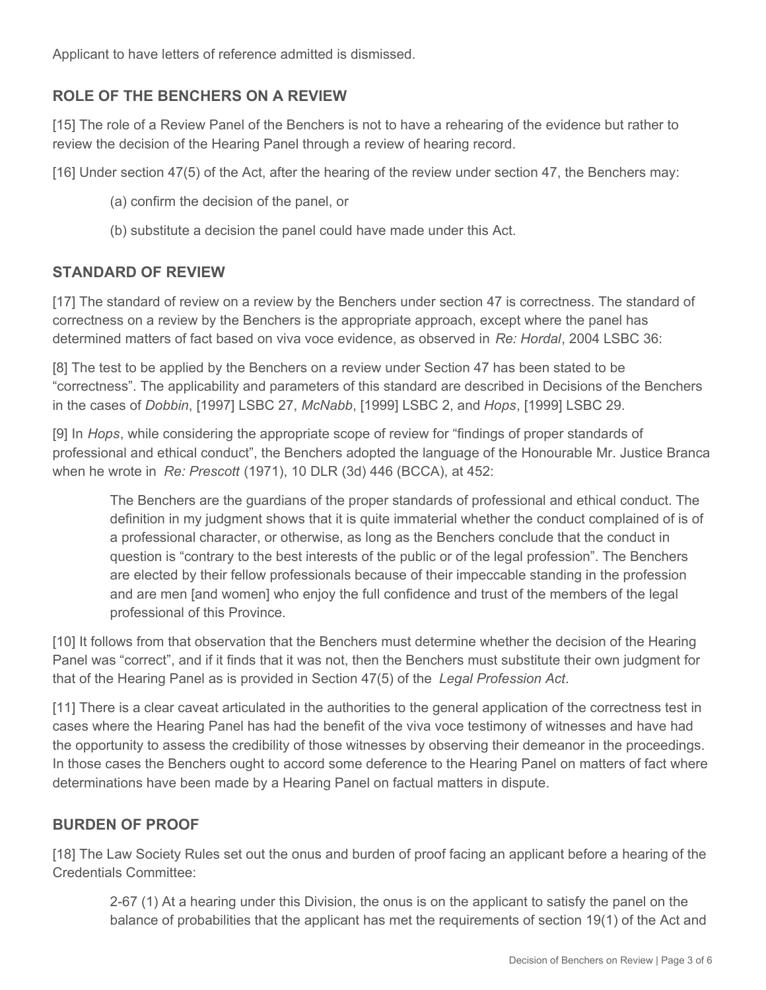Applicant to have letters of reference admitted is dismissed.

### **ROLE OF THE BENCHERS ON A REVIEW**

[15] The role of a Review Panel of the Benchers is not to have a rehearing of the evidence but rather to review the decision of the Hearing Panel through a review of hearing record.

[16] Under section 47(5) of the Act, after the hearing of the review under section 47, the Benchers may:

- (a) confirm the decision of the panel, or
- (b) substitute a decision the panel could have made under this Act.

#### **STANDARD OF REVIEW**

[17] The standard of review on a review by the Benchers under section 47 is correctness. The standard of correctness on a review by the Benchers is the appropriate approach, except where the panel has determined matters of fact based on viva voce evidence, as observed in *Re: Hordal*, 2004 LSBC 36:

[8] The test to be applied by the Benchers on a review under Section 47 has been stated to be "correctness". The applicability and parameters of this standard are described in Decisions of the Benchers in the cases of *Dobbin*, [1997] LSBC 27, *McNabb*, [1999] LSBC 2, and *Hops*, [1999] LSBC 29.

[9] In *Hops*, while considering the appropriate scope of review for "findings of proper standards of professional and ethical conduct", the Benchers adopted the language of the Honourable Mr. Justice Branca when he wrote in *Re: Prescott* (1971), 10 DLR (3d) 446 (BCCA), at 452:

The Benchers are the guardians of the proper standards of professional and ethical conduct. The definition in my judgment shows that it is quite immaterial whether the conduct complained of is of a professional character, or otherwise, as long as the Benchers conclude that the conduct in question is "contrary to the best interests of the public or of the legal profession". The Benchers are elected by their fellow professionals because of their impeccable standing in the profession and are men [and women] who enjoy the full confidence and trust of the members of the legal professional of this Province.

[10] It follows from that observation that the Benchers must determine whether the decision of the Hearing Panel was "correct", and if it finds that it was not, then the Benchers must substitute their own judgment for that of the Hearing Panel as is provided in Section 47(5) of the *Legal Profession Act*.

[11] There is a clear caveat articulated in the authorities to the general application of the correctness test in cases where the Hearing Panel has had the benefit of the viva voce testimony of witnesses and have had the opportunity to assess the credibility of those witnesses by observing their demeanor in the proceedings. In those cases the Benchers ought to accord some deference to the Hearing Panel on matters of fact where determinations have been made by a Hearing Panel on factual matters in dispute.

#### **BURDEN OF PROOF**

[18] The Law Society Rules set out the onus and burden of proof facing an applicant before a hearing of the Credentials Committee:

2-67 (1) At a hearing under this Division, the onus is on the applicant to satisfy the panel on the balance of probabilities that the applicant has met the requirements of section 19(1) of the Act and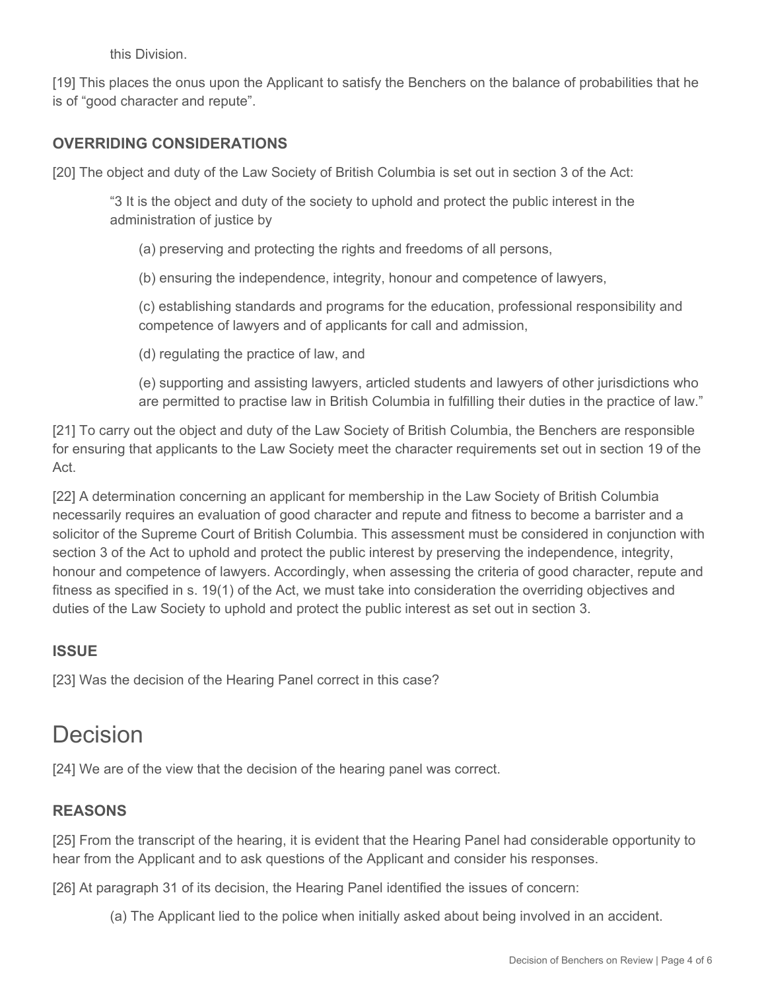this Division.

[19] This places the onus upon the Applicant to satisfy the Benchers on the balance of probabilities that he is of "good character and repute".

### **OVERRIDING CONSIDERATIONS**

[20] The object and duty of the Law Society of British Columbia is set out in section 3 of the Act:

"3 It is the object and duty of the society to uphold and protect the public interest in the administration of justice by

- (a) preserving and protecting the rights and freedoms of all persons,
- (b) ensuring the independence, integrity, honour and competence of lawyers,

(c) establishing standards and programs for the education, professional responsibility and competence of lawyers and of applicants for call and admission,

- (d) regulating the practice of law, and
- (e) supporting and assisting lawyers, articled students and lawyers of other jurisdictions who are permitted to practise law in British Columbia in fulfilling their duties in the practice of law."

[21] To carry out the object and duty of the Law Society of British Columbia, the Benchers are responsible for ensuring that applicants to the Law Society meet the character requirements set out in section 19 of the Act.

[22] A determination concerning an applicant for membership in the Law Society of British Columbia necessarily requires an evaluation of good character and repute and fitness to become a barrister and a solicitor of the Supreme Court of British Columbia. This assessment must be considered in conjunction with section 3 of the Act to uphold and protect the public interest by preserving the independence, integrity, honour and competence of lawyers. Accordingly, when assessing the criteria of good character, repute and fitness as specified in s. 19(1) of the Act, we must take into consideration the overriding objectives and duties of the Law Society to uphold and protect the public interest as set out in section 3.

#### **ISSUE**

[23] Was the decision of the Hearing Panel correct in this case?

# Decision

[24] We are of the view that the decision of the hearing panel was correct.

#### **REASONS**

[25] From the transcript of the hearing, it is evident that the Hearing Panel had considerable opportunity to hear from the Applicant and to ask questions of the Applicant and consider his responses.

[26] At paragraph 31 of its decision, the Hearing Panel identified the issues of concern:

(a) The Applicant lied to the police when initially asked about being involved in an accident.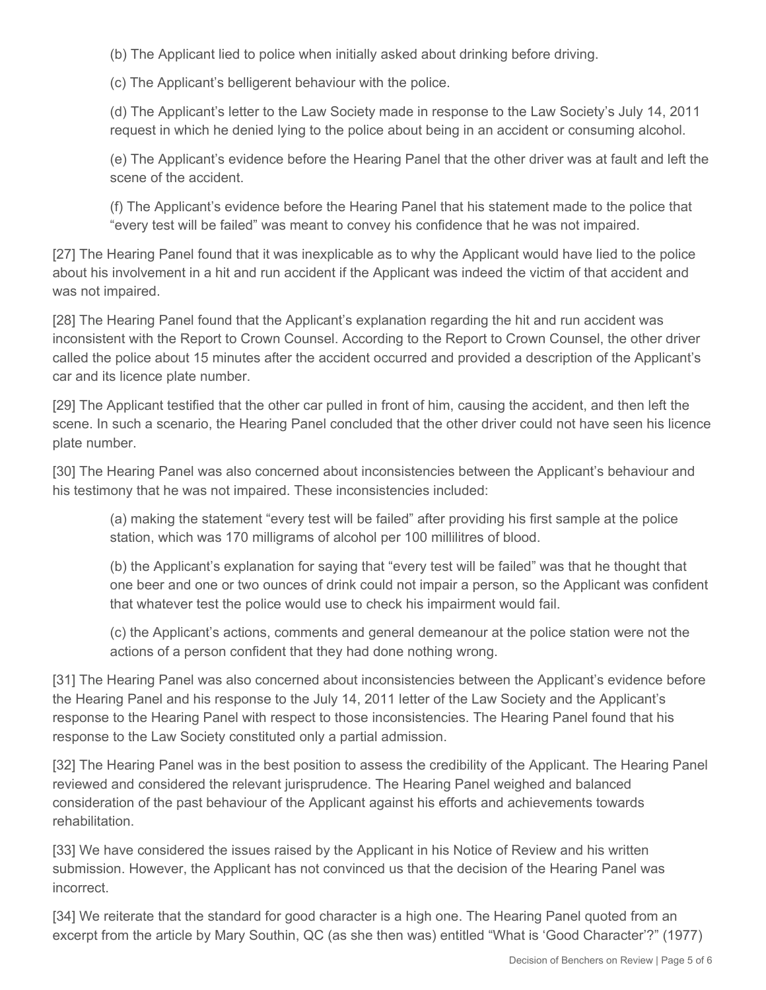(b) The Applicant lied to police when initially asked about drinking before driving.

(c) The Applicant's belligerent behaviour with the police.

(d) The Applicant's letter to the Law Society made in response to the Law Society's July 14, 2011 request in which he denied lying to the police about being in an accident or consuming alcohol.

(e) The Applicant's evidence before the Hearing Panel that the other driver was at fault and left the scene of the accident.

(f) The Applicant's evidence before the Hearing Panel that his statement made to the police that "every test will be failed" was meant to convey his confidence that he was not impaired.

[27] The Hearing Panel found that it was inexplicable as to why the Applicant would have lied to the police about his involvement in a hit and run accident if the Applicant was indeed the victim of that accident and was not impaired.

[28] The Hearing Panel found that the Applicant's explanation regarding the hit and run accident was inconsistent with the Report to Crown Counsel. According to the Report to Crown Counsel, the other driver called the police about 15 minutes after the accident occurred and provided a description of the Applicant's car and its licence plate number.

[29] The Applicant testified that the other car pulled in front of him, causing the accident, and then left the scene. In such a scenario, the Hearing Panel concluded that the other driver could not have seen his licence plate number.

[30] The Hearing Panel was also concerned about inconsistencies between the Applicant's behaviour and his testimony that he was not impaired. These inconsistencies included:

(a) making the statement "every test will be failed" after providing his first sample at the police station, which was 170 milligrams of alcohol per 100 millilitres of blood.

(b) the Applicant's explanation for saying that "every test will be failed" was that he thought that one beer and one or two ounces of drink could not impair a person, so the Applicant was confident that whatever test the police would use to check his impairment would fail.

(c) the Applicant's actions, comments and general demeanour at the police station were not the actions of a person confident that they had done nothing wrong.

[31] The Hearing Panel was also concerned about inconsistencies between the Applicant's evidence before the Hearing Panel and his response to the July 14, 2011 letter of the Law Society and the Applicant's response to the Hearing Panel with respect to those inconsistencies. The Hearing Panel found that his response to the Law Society constituted only a partial admission.

[32] The Hearing Panel was in the best position to assess the credibility of the Applicant. The Hearing Panel reviewed and considered the relevant jurisprudence. The Hearing Panel weighed and balanced consideration of the past behaviour of the Applicant against his efforts and achievements towards rehabilitation.

[33] We have considered the issues raised by the Applicant in his Notice of Review and his written submission. However, the Applicant has not convinced us that the decision of the Hearing Panel was incorrect.

[34] We reiterate that the standard for good character is a high one. The Hearing Panel quoted from an excerpt from the article by Mary Southin, QC (as she then was) entitled "What is 'Good Character'?" (1977)